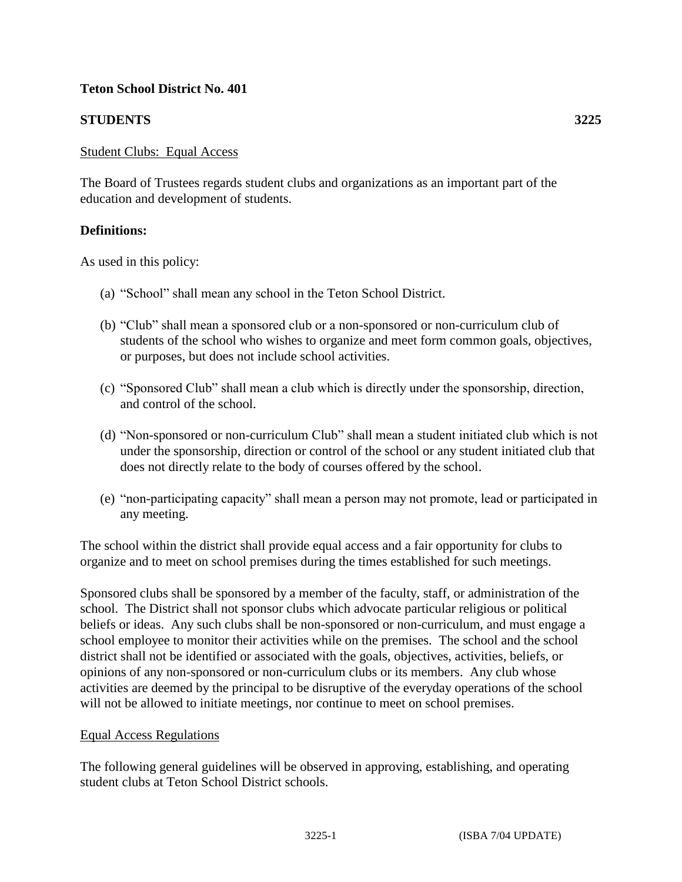## **Teton School District No. 401**

# **STUDENTS 3225**

### Student Clubs: Equal Access

The Board of Trustees regards student clubs and organizations as an important part of the education and development of students.

## **Definitions:**

As used in this policy:

- (a) "School" shall mean any school in the Teton School District.
- (b) "Club" shall mean a sponsored club or a non-sponsored or non-curriculum club of students of the school who wishes to organize and meet form common goals, objectives, or purposes, but does not include school activities.
- (c) "Sponsored Club" shall mean a club which is directly under the sponsorship, direction, and control of the school.
- (d) "Non-sponsored or non-curriculum Club" shall mean a student initiated club which is not under the sponsorship, direction or control of the school or any student initiated club that does not directly relate to the body of courses offered by the school.
- (e) "non-participating capacity" shall mean a person may not promote, lead or participated in any meeting.

The school within the district shall provide equal access and a fair opportunity for clubs to organize and to meet on school premises during the times established for such meetings.

Sponsored clubs shall be sponsored by a member of the faculty, staff, or administration of the school. The District shall not sponsor clubs which advocate particular religious or political beliefs or ideas. Any such clubs shall be non-sponsored or non-curriculum, and must engage a school employee to monitor their activities while on the premises. The school and the school district shall not be identified or associated with the goals, objectives, activities, beliefs, or opinions of any non-sponsored or non-curriculum clubs or its members. Any club whose activities are deemed by the principal to be disruptive of the everyday operations of the school will not be allowed to initiate meetings, nor continue to meet on school premises.

#### Equal Access Regulations

The following general guidelines will be observed in approving, establishing, and operating student clubs at Teton School District schools.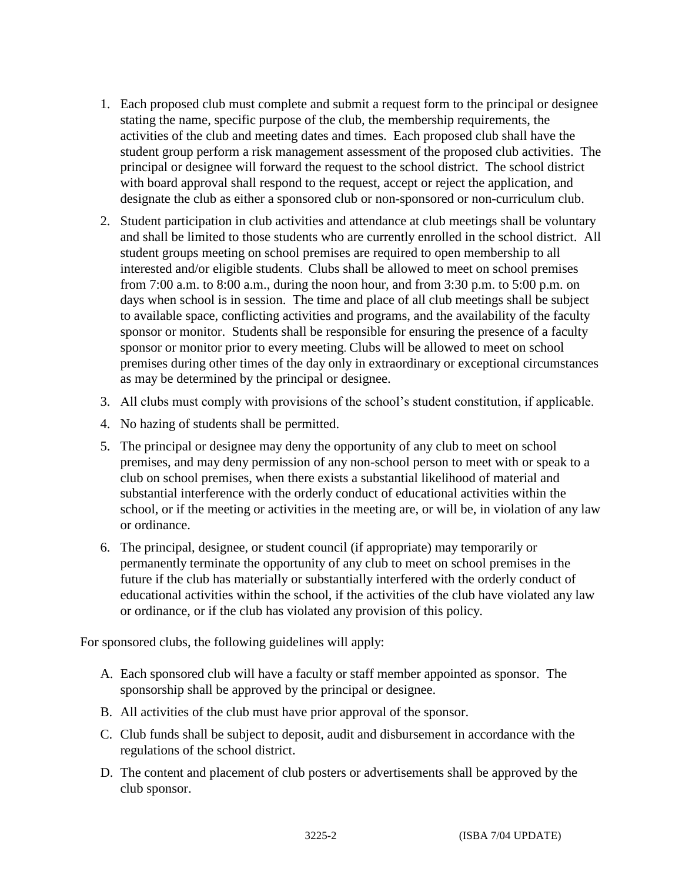- 1. Each proposed club must complete and submit a request form to the principal or designee stating the name, specific purpose of the club, the membership requirements, the activities of the club and meeting dates and times. Each proposed club shall have the student group perform a risk management assessment of the proposed club activities. The principal or designee will forward the request to the school district. The school district with board approval shall respond to the request, accept or reject the application, and designate the club as either a sponsored club or non-sponsored or non-curriculum club.
- 2. Student participation in club activities and attendance at club meetings shall be voluntary and shall be limited to those students who are currently enrolled in the school district. All student groups meeting on school premises are required to open membership to all interested and/or eligible students. Clubs shall be allowed to meet on school premises from 7:00 a.m. to 8:00 a.m., during the noon hour, and from 3:30 p.m. to 5:00 p.m. on days when school is in session. The time and place of all club meetings shall be subject to available space, conflicting activities and programs, and the availability of the faculty sponsor or monitor. Students shall be responsible for ensuring the presence of a faculty sponsor or monitor prior to every meeting. Clubs will be allowed to meet on school premises during other times of the day only in extraordinary or exceptional circumstances as may be determined by the principal or designee.
- 3. All clubs must comply with provisions of the school's student constitution, if applicable.
- 4. No hazing of students shall be permitted.
- 5. The principal or designee may deny the opportunity of any club to meet on school premises, and may deny permission of any non-school person to meet with or speak to a club on school premises, when there exists a substantial likelihood of material and substantial interference with the orderly conduct of educational activities within the school, or if the meeting or activities in the meeting are, or will be, in violation of any law or ordinance.
- 6. The principal, designee, or student council (if appropriate) may temporarily or permanently terminate the opportunity of any club to meet on school premises in the future if the club has materially or substantially interfered with the orderly conduct of educational activities within the school, if the activities of the club have violated any law or ordinance, or if the club has violated any provision of this policy.

For sponsored clubs, the following guidelines will apply:

- A. Each sponsored club will have a faculty or staff member appointed as sponsor. The sponsorship shall be approved by the principal or designee.
- B. All activities of the club must have prior approval of the sponsor.
- C. Club funds shall be subject to deposit, audit and disbursement in accordance with the regulations of the school district.
- D. The content and placement of club posters or advertisements shall be approved by the club sponsor.